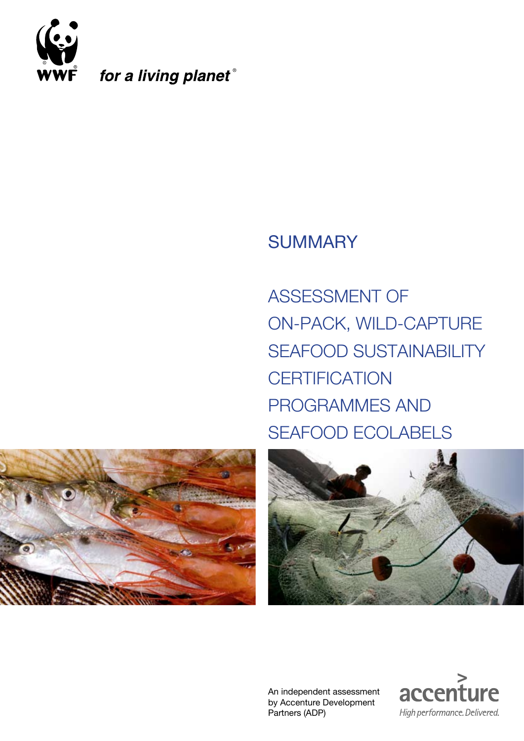

for a living planet®

# **SUMMARY**

ASSESSMENT OF ON-PACK, WILD-CAPTURE SEAFOOD SUSTAINABILITY **CERTIFICATION** PROGRAMMES AND SEAFOOD ECOLABELS





An independent assessment by Accenture Development Partners (ADP)

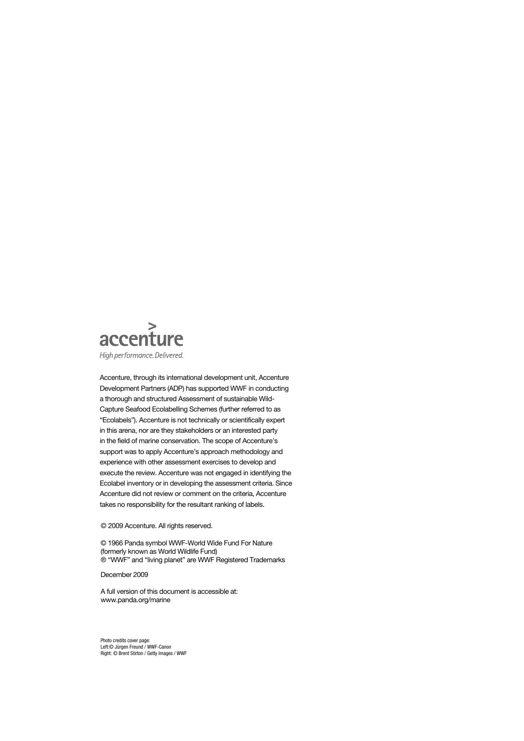

Accenture, through its international development unit, Accenture Development Partners (ADP) has supported WWF in conducting a thorough and structured Assessment of sustainable Wild-Capture Seafood Ecolabelling Schemes (further referred to as "Ecolabels"). Accenture is not technically or scientifically expert in this arena, nor are they stakeholders or an interested party in the field of marine conservation. The scope of Accenture's support was to apply Accenture's approach methodology and experience with other assessment exercises to develop and execute the review. Accenture was not engaged in identifying the Ecolabel inventory or in developing the assessment criteria. Since Accenture did not review or comment on the criteria, Accenture takes no responsibility for the resultant ranking of labels.

© 2009 Accenture. All rights reserved.

© 1966 Panda symbol WWF-World Wide Fund For Nature (formerly known as World Wildlife Fund) ® "WWF" and "living planet" are WWF Registered Trademarks

December 2009

A full version of this document is accessible at: www.panda.org/marine

Photo credits cover page: Left:© Jürgen Freund / WWF-Canon Right: © Brent Stirton / Getty Images / WWF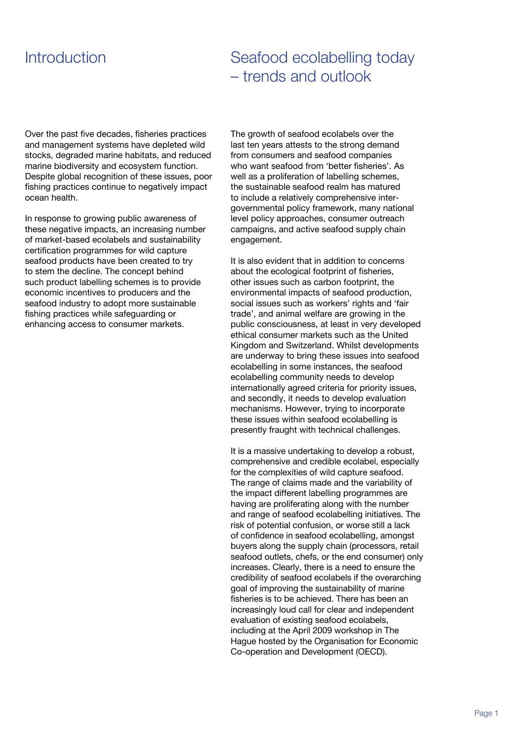# **Introduction**

# Seafood ecolabelling today – trends and outlook

Over the past five decades, fisheries practices and management systems have depleted wild stocks, degraded marine habitats, and reduced marine biodiversity and ecosystem function. Despite global recognition of these issues, poor fishing practices continue to negatively impact ocean health.

In response to growing public awareness of these negative impacts, an increasing number of market-based ecolabels and sustainability certification programmes for wild capture seafood products have been created to try to stem the decline. The concept behind such product labelling schemes is to provide economic incentives to producers and the seafood industry to adopt more sustainable fishing practices while safeguarding or enhancing access to consumer markets.

The growth of seafood ecolabels over the last ten years attests to the strong demand from consumers and seafood companies who want seafood from 'better fisheries'. As well as a proliferation of labelling schemes, the sustainable seafood realm has matured to include a relatively comprehensive intergovernmental policy framework, many national level policy approaches, consumer outreach campaigns, and active seafood supply chain engagement.

It is also evident that in addition to concerns about the ecological footprint of fisheries, other issues such as carbon footprint, the environmental impacts of seafood production, social issues such as workers' rights and 'fair trade', and animal welfare are growing in the public consciousness, at least in very developed ethical consumer markets such as the United Kingdom and Switzerland. Whilst developments are underway to bring these issues into seafood ecolabelling in some instances, the seafood ecolabelling community needs to develop internationally agreed criteria for priority issues, and secondly, it needs to develop evaluation mechanisms. However, trying to incorporate these issues within seafood ecolabelling is presently fraught with technical challenges.

It is a massive undertaking to develop a robust, comprehensive and credible ecolabel, especially for the complexities of wild capture seafood. The range of claims made and the variability of the impact different labelling programmes are having are proliferating along with the number and range of seafood ecolabelling initiatives. The risk of potential confusion, or worse still a lack of confidence in seafood ecolabelling, amongst buyers along the supply chain (processors, retail seafood outlets, chefs, or the end consumer) only increases. Clearly, there is a need to ensure the credibility of seafood ecolabels if the overarching goal of improving the sustainability of marine fisheries is to be achieved. There has been an increasingly loud call for clear and independent evaluation of existing seafood ecolabels, including at the April 2009 workshop in The Hague hosted by the Organisation for Economic Co-operation and Development (OECD).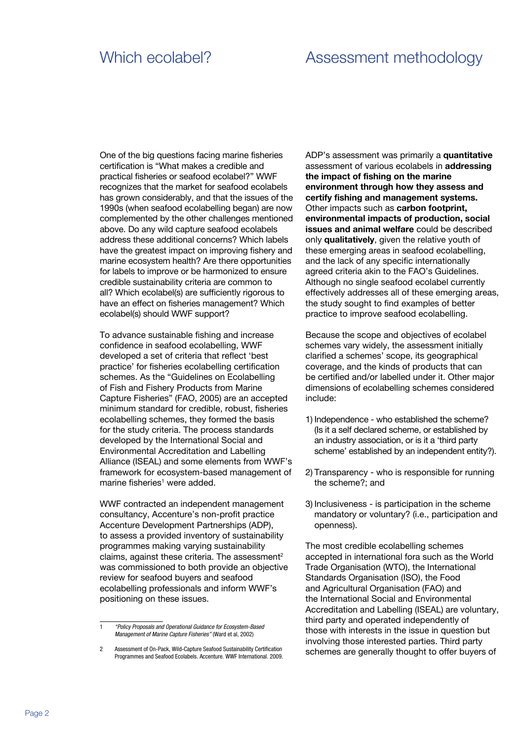## Which ecolabel? Assessment methodology

One of the big questions facing marine fisheries certification is "What makes a credible and practical fisheries or seafood ecolabel?" WWF recognizes that the market for seafood ecolabels has grown considerably, and that the issues of the 1990s (when seafood ecolabelling began) are now complemented by the other challenges mentioned above. Do any wild capture seafood ecolabels address these additional concerns? Which labels have the greatest impact on improving fishery and marine ecosystem health? Are there opportunities for labels to improve or be harmonized to ensure credible sustainability criteria are common to all? Which ecolabel(s) are sufficiently rigorous to have an effect on fisheries management? Which ecolabel(s) should WWF support?

To advance sustainable fishing and increase confidence in seafood ecolabelling, WWF developed a set of criteria that reflect 'best practice' for fisheries ecolabelling certification schemes. As the "Guidelines on Ecolabelling of Fish and Fishery Products from Marine Capture Fisheries" (FAO, 2005) are an accepted minimum standard for credible, robust, fisheries ecolabelling schemes, they formed the basis for the study criteria. The process standards developed by the International Social and Environmental Accreditation and Labelling Alliance (ISEAL) and some elements from WWF's framework for ecosystem-based management of marine fisheries<sup>1</sup> were added.

WWF contracted an independent management consultancy, Accenture's non-profit practice Accenture Development Partnerships (ADP), to assess a provided inventory of sustainability programmes making varying sustainability claims, against these criteria. The assessment<sup>2</sup> was commissioned to both provide an objective review for seafood buyers and seafood ecolabelling professionals and inform WWF's positioning on these issues.

ADP's assessment was primarily a **quantitative** assessment of various ecolabels in **addressing the impact of fishing on the marine environment through how they assess and certify fishing and management systems.** Other impacts such as **carbon footprint, environmental impacts of production, social issues and animal welfare** could be described only **qualitatively**, given the relative youth of these emerging areas in seafood ecolabelling, and the lack of any specific internationally agreed criteria akin to the FAO's Guidelines. Although no single seafood ecolabel currently effectively addresses all of these emerging areas, the study sought to find examples of better practice to improve seafood ecolabelling.

Because the scope and objectives of ecolabel schemes vary widely, the assessment initially clarified a schemes' scope, its geographical coverage, and the kinds of products that can be certified and/or labelled under it. Other major dimensions of ecolabelling schemes considered include:

- 1) Independence who established the scheme? (Is it a self declared scheme, or established by an industry association, or is it a 'third party scheme' established by an independent entity?).
- 2) Transparency who is responsible for running the scheme?; and
- 3) Inclusiveness is participation in the scheme mandatory or voluntary? (i.e., participation and openness).

The most credible ecolabelling schemes accepted in international fora such as the World Trade Organisation (WTO), the International Standards Organisation (ISO), the Food and Agricultural Organisation (FAO) and the International Social and Environmental Accreditation and Labelling (ISEAL) are voluntary, third party and operated independently of those with interests in the issue in question but involving those interested parties. Third party schemes are generally thought to offer buyers of

<sup>1</sup> "Policy Proposals and Operational Guidance for Ecosystem-Based Management of Marine Capture Fisheries" (Ward et al, 2002)

<sup>2</sup> Assessment of On-Pack, Wild-Capture Seafood Sustainability Certification Programmes and Seafood Ecolabels. Accenture. WWF International. 2009.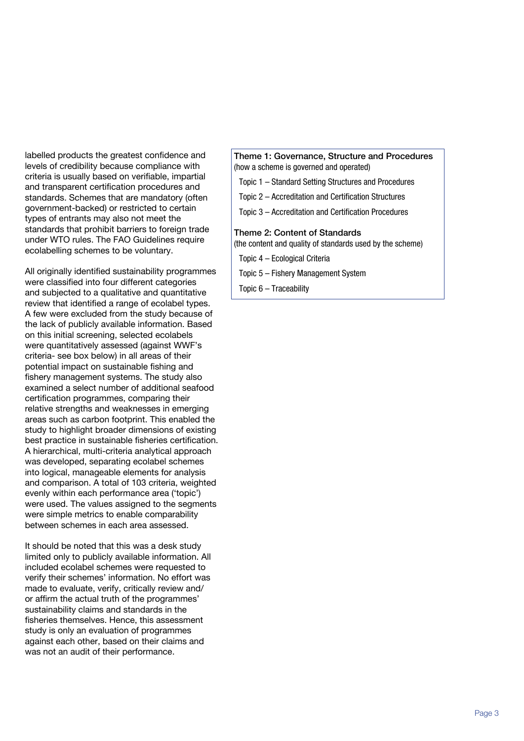labelled products the greatest confidence and levels of credibility because compliance with criteria is usually based on verifiable, impartial and transparent certification procedures and standards. Schemes that are mandatory (often government-backed) or restricted to certain types of entrants may also not meet the standards that prohibit barriers to foreign trade under WTO rules. The FAO Guidelines require ecolabelling schemes to be voluntary.

All originally identified sustainability programmes were classified into four different categories and subjected to a qualitative and quantitative review that identified a range of ecolabel types. A few were excluded from the study because of the lack of publicly available information. Based on this initial screening, selected ecolabels were quantitatively assessed (against WWF's criteria- see box below) in all areas of their potential impact on sustainable fishing and fishery management systems. The study also examined a select number of additional seafood certification programmes, comparing their relative strengths and weaknesses in emerging areas such as carbon footprint. This enabled the study to highlight broader dimensions of existing best practice in sustainable fisheries certification. A hierarchical, multi-criteria analytical approach was developed, separating ecolabel schemes into logical, manageable elements for analysis and comparison. A total of 103 criteria, weighted evenly within each performance area ('topic') were used. The values assigned to the segments were simple metrics to enable comparability between schemes in each area assessed.

It should be noted that this was a desk study limited only to publicly available information. All included ecolabel schemes were requested to verify their schemes' information. No effort was made to evaluate, verify, critically review and/ or affirm the actual truth of the programmes' sustainability claims and standards in the fisheries themselves. Hence, this assessment study is only an evaluation of programmes against each other, based on their claims and was not an audit of their performance.

Theme 1: Governance, Structure and Procedures (how a scheme is governed and operated)

- Topic 1 Standard Setting Structures and Procedures
- Topic 2 Accreditation and Certification Structures
- Topic 3 Accreditation and Certification Procedures

#### Theme 2: Content of Standards

- (the content and quality of standards used by the scheme)
- Topic 4 Ecological Criteria
- Topic 5 Fishery Management System
- Topic 6 Traceability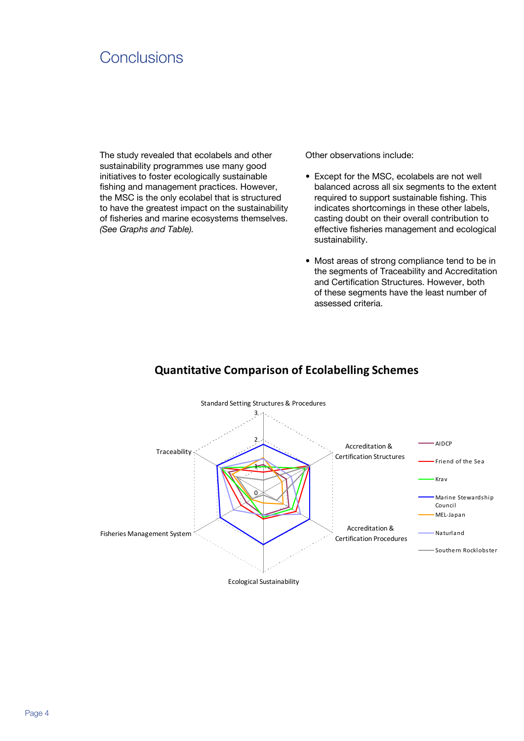## **Conclusions**

The study revealed that ecolabels and other sustainability programmes use many good initiatives to foster ecologically sustainable fishing and management practices. However, the MSC is the only ecolabel that is structured to have the greatest impact on the sustainability of fisheries and marine ecosystems themselves. *(See Graphs and Table).*

Other observations include:

- **•**  Except for the MSC, ecolabels are not well balanced across all six segments to the extent required to support sustainable fishing. This indicates shortcomings in these other labels, casting doubt on their overall contribution to effective fisheries management and ecological sustainability.
- **•**  Most areas of strong compliance tend to be in the segments of Traceability and Accreditation and Certification Structures. However, both of these segments have the least number of assessed criteria.



### **Quantitative Comparison of Ecolabelling Schemes**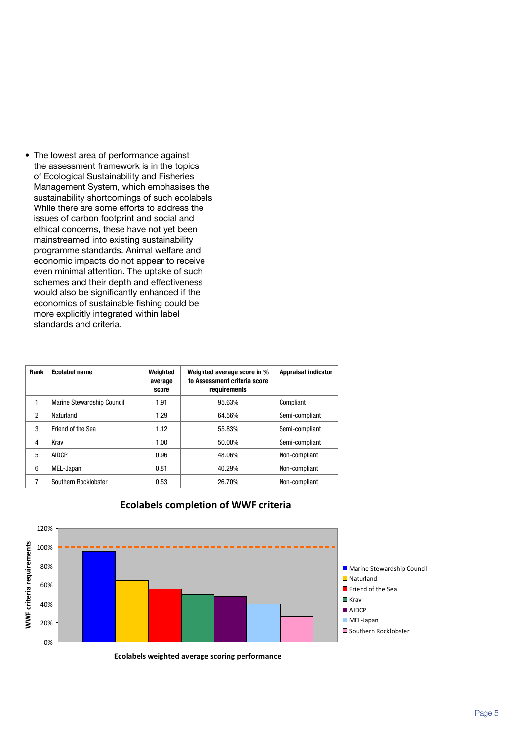**•**  The lowest area of performance against the assessment framework is in the topics of Ecological Sustainability and Fisheries Management System, which emphasises the sustainability shortcomings of such ecolabels While there are some efforts to address the issues of carbon footprint and social and ethical concerns, these have not yet been mainstreamed into existing sustainability programme standards. Animal welfare and economic impacts do not appear to receive even minimal attention. The uptake of such schemes and their depth and effectiveness would also be significantly enhanced if the economics of sustainable fishing could be more explicitly integrated within label standards and criteria.

| Rank | <b>Ecolabel name</b>       | Weighted<br>average<br>score | Weighted average score in %<br>to Assessment criteria score<br>requirements | <b>Appraisal indicator</b> |
|------|----------------------------|------------------------------|-----------------------------------------------------------------------------|----------------------------|
| 1    | Marine Stewardship Council | 1.91                         | 95.63%                                                                      | Compliant                  |
| 2    | Naturland                  | 1.29                         | 64.56%                                                                      | Semi-compliant             |
| 3    | Friend of the Sea          | 1.12                         | 55.83%                                                                      | Semi-compliant             |
| 4    | Krav                       | 1.00                         | 50.00%                                                                      | Semi-compliant             |
| 5    | <b>AIDCP</b>               | 0.96                         | 48.06%                                                                      | Non-compliant              |
| 6    | MEL-Japan                  | 0.81                         | 40.29%                                                                      | Non-compliant              |
| 7    | Southern Rocklobster       | 0.53                         | 26.70%                                                                      | Non-compliant              |



#### **Ecolabels completion of WWF criteria**